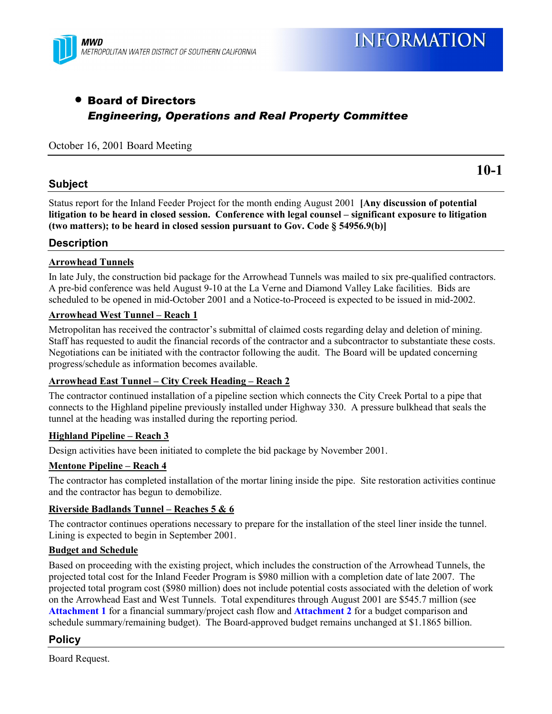

## • Board of Directors *Engineering, Operations and Real Property Committee*

#### October 16, 2001 Board Meeting

#### **Subject**

**10-1**

Status report for the Inland Feeder Project for the month ending August 2001 **[Any discussion of potential** litigation to be heard in closed session. Conference with legal counsel – significant exposure to litigation **(two matters); to be heard in closed session pursuant to Gov. Code ß 54956.9(b)]**

#### **Description**

#### **Arrowhead Tunnels**

In late July, the construction bid package for the Arrowhead Tunnels was mailed to six pre-qualified contractors. A pre-bid conference was held August 9-10 at the La Verne and Diamond Valley Lake facilities. Bids are scheduled to be opened in mid-October 2001 and a Notice-to-Proceed is expected to be issued in mid-2002.

#### **Arrowhead West Tunnel – Reach 1**

Metropolitan has received the contractor's submittal of claimed costs regarding delay and deletion of mining. Staff has requested to audit the financial records of the contractor and a subcontractor to substantiate these costs. Negotiations can be initiated with the contractor following the audit. The Board will be updated concerning progress/schedule as information becomes available.

#### Arrowhead East Tunnel – City Creek Heading – Reach 2

The contractor continued installation of a pipeline section which connects the City Creek Portal to a pipe that connects to the Highland pipeline previously installed under Highway 330. A pressure bulkhead that seals the tunnel at the heading was installed during the reporting period.

#### **Highland Pipeline – Reach 3**

Design activities have been initiated to complete the bid package by November 2001.

#### <u>**Mentone Pipeline – Reach 4**</u>

The contractor has completed installation of the mortar lining inside the pipe. Site restoration activities continue and the contractor has begun to demobilize.

#### **<u>Riverside Badlands Tunnel – Reaches 5 & 6</u>**

The contractor continues operations necessary to prepare for the installation of the steel liner inside the tunnel. Lining is expected to begin in September 2001.

#### **Budget and Schedule**

Based on proceeding with the existing project, which includes the construction of the Arrowhead Tunnels, the projected total cost for the Inland Feeder Program is \$980 million with a completion date of late 2007. The projected total program cost (\$980 million) does not include potential costs associated with the deletion of work on the Arrowhead East and West Tunnels. Total expenditures through August 2001 are \$545.7 million (see **Attachment 1** for a financial summary/project cash flow and **Attachment 2** for a budget comparison and schedule summary/remaining budget). The Board-approved budget remains unchanged at \$1.1865 billion.

#### **Policy**

Board Request.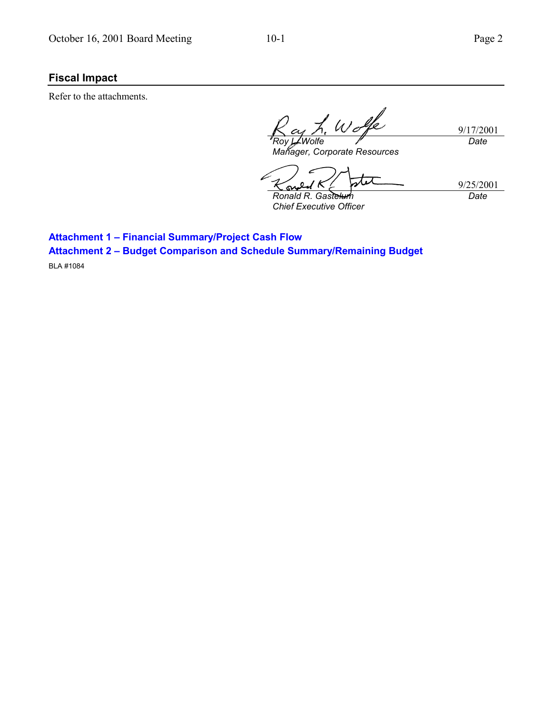## **Fiscal Impact**

Refer to the attachments.

9/17/2001 *Roy L. Wolfe Date*

ر،

*Manager, Corporate Resources*

9/25/2001 *Date*

S *Ronald R. Gastelum Chief Executive Officer*

**Attachment 1 - Financial Summary/Project Cash Flow Attachment 2 - Budget Comparison and Schedule Summary/Remaining Budget** 

BLA #1084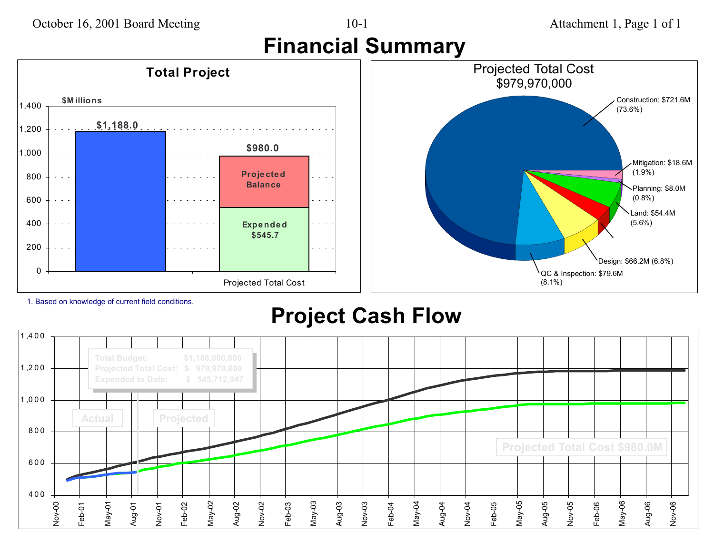# **Financial Summary**

#### \$979,970,000 **Total Project \$M illions** 1,400 **\$1,188.0** 1,200 **\$980.0** 1,000 **Projected** 800 $\omega_{\rm{max}}$ **Balance**600 $\omega_{\rm{max}}$  $\sim$ 400 $\omega_{\rm{c}}$  and  $\omega_{\rm{c}}$ **Expe nde d \$545.7** 200 $\omega = \omega$ a la

Projected Total Cost



1. Based on knowledge of current field conditions.

0

# **Project Cash Flow**